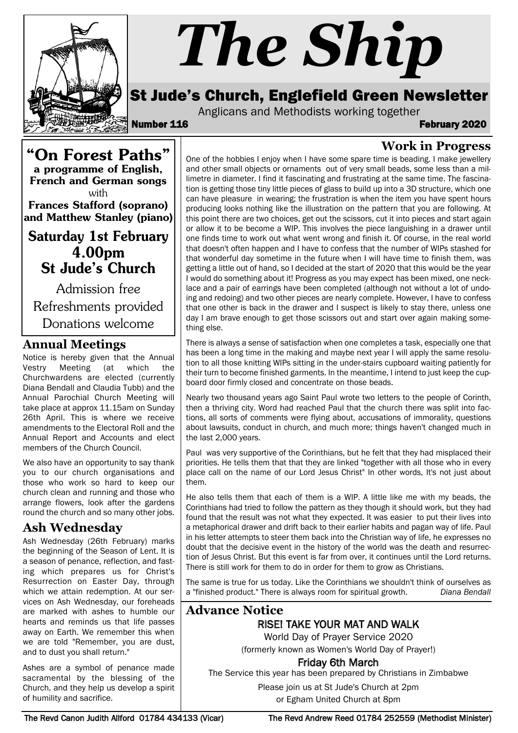

# *The Ship*

# St Jude's Church, Englefield Green Newsletter

Anglicans and Methodists working together

Number 116 February 2020

**Work in Progress**

"On Forest Paths" a programme of English, French and German songs with Frances Stafford (soprano) and Matthew Stanley (piano)

Saturday 1st February 4.00pm St Jude's Church

Admission free Refreshments provided Donations welcome

# **Annual Meetings**

Notice is hereby given that the Annual Vestry Meeting (at which the Churchwardens are elected (currently Diana Bendall and Claudia Tubb) and the Annual Parochial Church Meeting will take place at approx 11.15am on Sunday 26th April. This is where we receive amendments to the Electoral Roll and the Annual Report and Accounts and elect members of the Church Council.

We also have an opportunity to say thank you to our church organisations and those who work so hard to keep our church clean and running and those who arrange flowers, look after the gardens round the church and so many other jobs.

# **Ash Wednesday**

Ash Wednesday (26th February) marks the beginning of the Season of Lent. It is a season of penance, reflection, and fasting which prepares us for Christ's Resurrection on Easter Day, through which we attain redemption. At our services on Ash Wednesday, our foreheads are marked with ashes to humble our hearts and reminds us that life passes away on Earth. We remember this when we are told "Remember, you are dust, and to dust you shall return."

Ashes are a symbol of penance made sacramental by the blessing of the Church, and they help us develop a spirit of humility and sacrifice.

One of the hobbies I enjoy when I have some spare time is beading. I make jewellery and other small objects or ornaments out of very small beads, some less than a millimetre in diameter. I find it fascinating and frustrating at the same time. The fascination is getting those tiny little pieces of glass to build up into a 3D structure, which one can have pleasure in wearing; the frustration is when the item you have spent hours producing looks nothing like the illustration on the pattern that you are following. At this point there are two choices, get out the scissors, cut it into pieces and start again or allow it to be become a WIP. This involves the piece languishing in a drawer until one finds time to work out what went wrong and finish it. Of course, in the real world that doesn't often happen and I have to confess that the number of WIPs stashed for that wonderful day sometime in the future when I will have time to finish them, was getting a little out of hand, so I decided at the start of 2020 that this would be the year I would do something about it! Progress as you may expect has been mixed, one necklace and a pair of earrings have been completed (although not without a lot of undoing and redoing) and two other pieces are nearly complete. However, I have to confess that one other is back in the drawer and I suspect is likely to stay there, unless one day I am brave enough to get those scissors out and start over again making something else.

There is always a sense of satisfaction when one completes a task, especially one that has been a long time in the making and maybe next year I will apply the same resolution to all those knitting WIPs sitting in the under-stairs cupboard waiting patiently for their turn to become finished garments. In the meantime, I intend to just keep the cupboard door firmly closed and concentrate on those beads.

Nearly two thousand years ago Saint Paul wrote two letters to the people of Corinth, then a thriving city. Word had reached Paul that the church there was split into factions, all sorts of comments were flying about, accusations of immorality, questions about lawsuits, conduct in church, and much more; things haven't changed much in the last 2,000 years.

Paul was very supportive of the Corinthians, but he felt that they had misplaced their priorities. He tells them that that they are linked "together with all those who in every place call on the name of our Lord Jesus Christ" In other words, It's not just about them.

He also tells them that each of them is a WIP. A little like me with my beads, the Corinthians had tried to follow the pattern as they though it should work, but they had found that the result was not what they expected. It was easier to put their lives into a metaphorical drawer and drift back to their earlier habits and pagan way of life. Paul in his letter attempts to steer them back into the Christian way of life, he expresses no doubt that the decisive event in the history of the world was the death and resurrection of Jesus Christ. But this event is far from over, it continues until the Lord returns. There is still work for them to do in order for them to grow as Christians.

The same is true for us today. Like the Corinthians we shouldn't think of ourselves as a "finished product." There is always room for spiritual growth. *Diana Bendall*

# **Advance Notice**

RISE! TAKE YOUR MAT AND WALK

World Day of Prayer Service 2020 (formerly known as Women's World Day of Prayer!)

# Friday 6th March

The Service this year has been prepared by Christians in Zimbabwe

Please join us at St Jude's Church at 2pm

or Egham United Church at 8pm